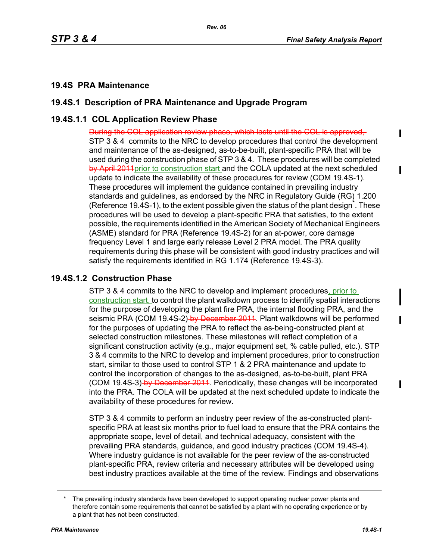ı

I

## **19.4S PRA Maintenance**

## **19.4S.1 Description of PRA Maintenance and Upgrade Program**

# **19.4S.1.1 COL Application Review Phase**

During the COL application review phase, which lasts until the COL is approved, STP 3 & 4 commits to the NRC to develop procedures that control the development and maintenance of the as-designed, as-to-be-built, plant-specific PRA that will be used during the construction phase of STP 3 & 4. These procedures will be completed by April 2011 prior to construction start and the COLA updated at the next scheduled update to indicate the availability of these procedures for review (COM 19.4S-1). These procedures will implement the guidance contained in prevailing industry standards and guidelines, as endorsed by the NRC in Regulatory Guide (RG) 1.200 (Reference 19.4S-1), to the extent possible given the status of the plant design<sup>\*</sup>. These procedures will be used to develop a plant-specific PRA that satisfies, to the extent possible, the requirements identified in the American Society of Mechanical Engineers (ASME) standard for PRA (Reference 19.4S-2) for an at-power, core damage frequency Level 1 and large early release Level 2 PRA model. The PRA quality requirements during this phase will be consistent with good industry practices and will satisfy the requirements identified in RG 1.174 (Reference 19.4S-3).

## **19.4S.1.2 Construction Phase**

STP 3 & 4 commits to the NRC to develop and implement procedures, prior to construction start, to control the plant walkdown process to identify spatial interactions for the purpose of developing the plant fire PRA, the internal flooding PRA, and the seismic PRA (COM 19.4S-2) by December 2011. Plant walkdowns will be performed for the purposes of updating the PRA to reflect the as-being-constructed plant at selected construction milestones. These milestones will reflect completion of a significant construction activity (e.g., major equipment set, % cable pulled, etc.). STP 3 & 4 commits to the NRC to develop and implement procedures, prior to construction start, similar to those used to control STP 1 & 2 PRA maintenance and update to control the incorporation of changes to the as-designed, as-to-be-built, plant PRA (COM 19.4S-3) by December 2011. Periodically, these changes will be incorporated into the PRA. The COLA will be updated at the next scheduled update to indicate the availability of these procedures for review.

STP 3 & 4 commits to perform an industry peer review of the as-constructed plantspecific PRA at least six months prior to fuel load to ensure that the PRA contains the appropriate scope, level of detail, and technical adequacy, consistent with the prevailing PRA standards, guidance, and good industry practices (COM 19.4S-4). Where industry guidance is not available for the peer review of the as-constructed plant-specific PRA, review criteria and necessary attributes will be developed using best industry practices available at the time of the review. Findings and observations

The prevailing industry standards have been developed to support operating nuclear power plants and therefore contain some requirements that cannot be satisfied by a plant with no operating experience or by a plant that has not been constructed.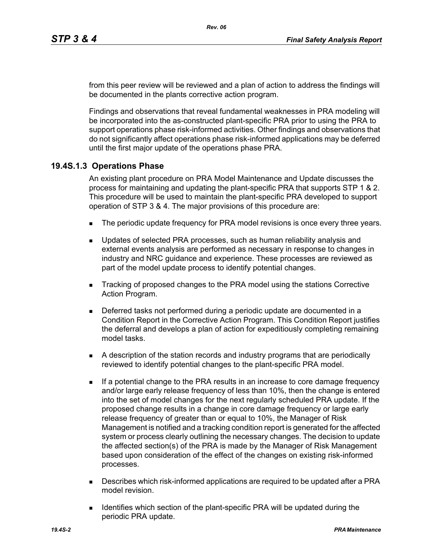from this peer review will be reviewed and a plan of action to address the findings will be documented in the plants corrective action program.

Findings and observations that reveal fundamental weaknesses in PRA modeling will be incorporated into the as-constructed plant-specific PRA prior to using the PRA to support operations phase risk-informed activities. Other findings and observations that do not significantly affect operations phase risk-informed applications may be deferred until the first major update of the operations phase PRA.

### **19.4S.1.3 Operations Phase**

An existing plant procedure on PRA Model Maintenance and Update discusses the process for maintaining and updating the plant-specific PRA that supports STP 1 & 2. This procedure will be used to maintain the plant-specific PRA developed to support operation of STP 3 & 4. The major provisions of this procedure are:

- The periodic update frequency for PRA model revisions is once every three years.
- **D** Updates of selected PRA processes, such as human reliability analysis and external events analysis are performed as necessary in response to changes in industry and NRC guidance and experience. These processes are reviewed as part of the model update process to identify potential changes.
- **Tracking of proposed changes to the PRA model using the stations Corrective** Action Program.
- Deferred tasks not performed during a periodic update are documented in a Condition Report in the Corrective Action Program. This Condition Report justifies the deferral and develops a plan of action for expeditiously completing remaining model tasks.
- A description of the station records and industry programs that are periodically reviewed to identify potential changes to the plant-specific PRA model.
- If a potential change to the PRA results in an increase to core damage frequency and/or large early release frequency of less than 10%, then the change is entered into the set of model changes for the next regularly scheduled PRA update. If the proposed change results in a change in core damage frequency or large early release frequency of greater than or equal to 10%, the Manager of Risk Management is notified and a tracking condition report is generated for the affected system or process clearly outlining the necessary changes. The decision to update the affected section(s) of the PRA is made by the Manager of Risk Management based upon consideration of the effect of the changes on existing risk-informed processes.
- Describes which risk-informed applications are required to be updated after a PRA model revision.
- **IDENT** Identifies which section of the plant-specific PRA will be updated during the periodic PRA update.